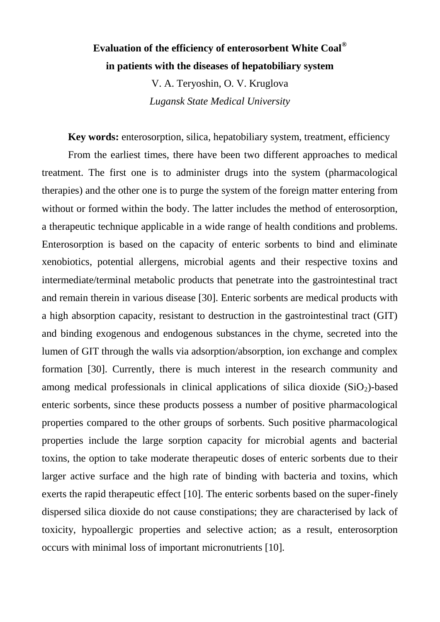## **Evaluation of the efficiency of enterosorbent White Coal® in patients with the diseases of hepatobiliary system**

V. A. Teryoshin, O. V. Kruglova *Lugansk State Medical University*

**Key words:** enterosorption, silica, hepatobiliary system, treatment, efficiency From the earliest times, there have been two different approaches to medical treatment. The first one is to administer drugs into the system (pharmacological therapies) and the other one is to purge the system of the foreign matter entering from without or formed within the body. The latter includes the method of enterosorption, a therapeutic technique applicable in a wide range of health conditions and problems. Enterosorption is based on the capacity of enteric sorbents to bind and eliminate xenobiotics, potential allergens, microbial agents and their respective toxins and intermediate/terminal metabolic products that penetrate into the gastrointestinal tract and remain therein in various disease [30]. Enteric sorbents are medical products with a high absorption capacity, resistant to destruction in the gastrointestinal tract (GIT) and binding exogenous and endogenous substances in the chyme, secreted into the lumen of GIT through the walls via adsorption/absorption, ion exchange and complex formation [30]. Currently, there is much interest in the research community and among medical professionals in clinical applications of silica dioxide  $(SiO<sub>2</sub>)$ -based enteric sorbents, since these products possess a number of positive pharmacological properties compared to the other groups of sorbents. Such positive pharmacological properties include the large sorption capacity for microbial agents and bacterial toxins, the option to take moderate therapeutic doses of enteric sorbents due to their larger active surface and the high rate of binding with bacteria and toxins, which exerts the rapid therapeutic effect [10]. The enteric sorbents based on the super-finely dispersed silica dioxide do not cause constipations; they are characterised by lack of toxicity, hypoallergic properties and selective action; as a result, enterosorption occurs with minimal loss of important micronutrients [10].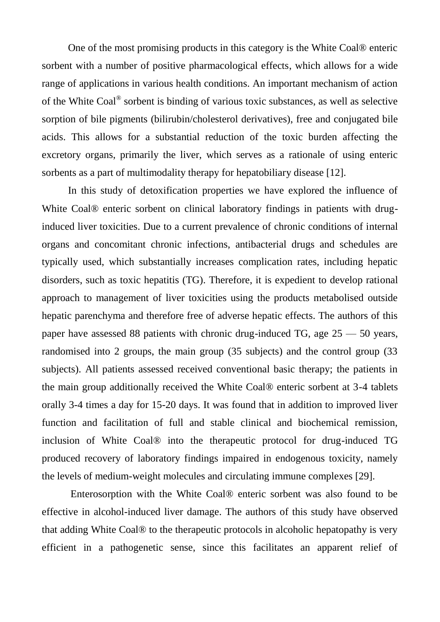One of the most promising products in this category is the White Coal® enteric sorbent with a number of positive pharmacological effects, which allows for a wide range of applications in various health conditions. An important mechanism of action of the White Coal<sup>®</sup> sorbent is binding of various toxic substances, as well as selective sorption of bile pigments (bilirubin/cholesterol derivatives), free and conjugated bile acids. This allows for a substantial reduction of the toxic burden affecting the excretory organs, primarily the liver, which serves as a rationale of using enteric sorbents as a part of multimodality therapy for hepatobiliary disease [12].

In this study of detoxification properties we have explored the influence of White Coal<sup>®</sup> enteric sorbent on clinical laboratory findings in patients with druginduced liver toxicities. Due to a current prevalence of chronic conditions of internal organs and concomitant chronic infections, antibacterial drugs and schedules are typically used, which substantially increases complication rates, including hepatic disorders, such as toxic hepatitis (TG). Therefore, it is expedient to develop rational approach to management of liver toxicities using the products metabolised outside hepatic parenchyma and therefore free of adverse hepatic effects. The authors of this paper have assessed 88 patients with chronic drug-induced TG, age 25 — 50 years, randomised into 2 groups, the main group (35 subjects) and the control group (33 subjects). All patients assessed received conventional basic therapy; the patients in the main group additionally received the White Coal® enteric sorbent at 3-4 tablets orally 3-4 times a day for 15-20 days. It was found that in addition to improved liver function and facilitation of full and stable clinical and biochemical remission, inclusion of White Coal® into the therapeutic protocol for drug-induced TG produced recovery of laboratory findings impaired in endogenous toxicity, namely the levels of medium-weight molecules and circulating immune complexes [29].

Enterosorption with the White Coal® enteric sorbent was also found to be effective in alcohol-induced liver damage. The authors of this study have observed that adding White Coal® to the therapeutic protocols in alcoholic hepatopathy is very efficient in a pathogenetic sense, since this facilitates an apparent relief of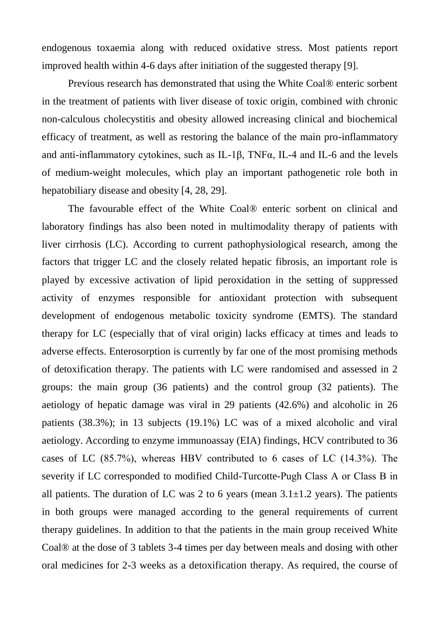endogenous toxaemia along with reduced oxidative stress. Most patients report improved health within 4-6 days after initiation of the suggested therapy [9].

Previous research has demonstrated that using the White Coal® enteric sorbent in the treatment of patients with liver disease of toxic origin, combined with chronic non-calculous cholecystitis and obesity allowed increasing clinical and biochemical efficacy of treatment, as well as restoring the balance of the main pro-inflammatory and anti-inflammatory cytokines, such as IL-1 $\beta$ , TNF $\alpha$ , IL-4 and IL-6 and the levels of medium-weight molecules, which play an important pathogenetic role both in hepatobiliary disease and obesity [4, 28, 29].

The favourable effect of the White Coal® enteric sorbent on clinical and laboratory findings has also been noted in multimodality therapy of patients with liver cirrhosis (LC). According to current pathophysiological research, among the factors that trigger LC and the closely related hepatic fibrosis, an important role is played by excessive activation of lipid peroxidation in the setting of suppressed activity of enzymes responsible for antioxidant protection with subsequent development of endogenous metabolic toxicity syndrome (EMTS). The standard therapy for LC (especially that of viral origin) lacks efficacy at times and leads to adverse effects. Enterosorption is currently by far one of the most promising methods of detoxification therapy. The patients with LC were randomised and assessed in 2 groups: the main group (36 patients) and the control group (32 patients). The aetiology of hepatic damage was viral in 29 patients (42.6%) and alcoholic in 26 patients (38.3%); in 13 subjects (19.1%) LC was of a mixed alcoholic and viral aetiology. According to enzyme immunoassay (EIA) findings, HCV contributed to 36 cases of LC (85.7%), whereas HВV contributed to 6 cases of LC (14.3%). The severity if LC corresponded to modified Child-Turcotte-Pugh Class А or Class В in all patients. The duration of LC was 2 to 6 years (mean  $3.1\pm1.2$  years). The patients in both groups were managed according to the general requirements of current therapy guidelines. In addition to that the patients in the main group received White Coal® at the dose of 3 tablets 3-4 times per day between meals and dosing with other oral medicines for 2-3 weeks as a detoxification therapy. As required, the course of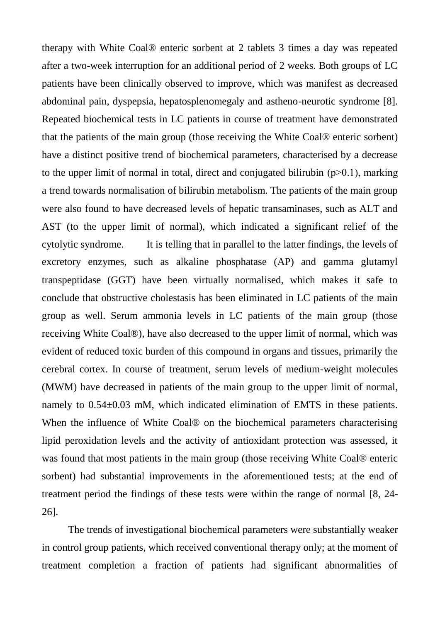therapy with White Coal® enteric sorbent at 2 tablets 3 times a day was repeated after a two-week interruption for an additional period of 2 weeks. Both groups of LC patients have been clinically observed to improve, which was manifest as decreased abdominal pain, dyspepsia, hepatosplenomegaly and astheno-neurotic syndrome [8]. Repeated biochemical tests in LC patients in course of treatment have demonstrated that the patients of the main group (those receiving the White Coal® enteric sorbent) have a distinct positive trend of biochemical parameters, characterised by a decrease to the upper limit of normal in total, direct and conjugated bilirubin  $(p>0.1)$ , marking a trend towards normalisation of bilirubin metabolism. The patients of the main group were also found to have decreased levels of hepatic transaminases, such as ALT and AST (to the upper limit of normal), which indicated a significant relief of the cytolytic syndrome. It is telling that in parallel to the latter findings, the levels of excretory enzymes, such as alkaline phosphatase (AP) and gamma glutamyl transpeptidase (GGT) have been virtually normalised, which makes it safe to conclude that obstructive cholestasis has been eliminated in LC patients of the main group as well. Serum ammonia levels in LC patients of the main group (those receiving White Coal®), have also decreased to the upper limit of normal, which was evident of reduced toxic burden of this compound in organs and tissues, primarily the cerebral cortex. In course of treatment, serum levels of medium-weight molecules (MWM) have decreased in patients of the main group to the upper limit of normal, namely to 0.54±0.03 mM, which indicated elimination of EMTS in these patients. When the influence of White Coal<sup>®</sup> on the biochemical parameters characterising lipid peroxidation levels and the activity of antioxidant protection was assessed, it was found that most patients in the main group (those receiving White Coal® enteric sorbent) had substantial improvements in the aforementioned tests; at the end of treatment period the findings of these tests were within the range of normal [8, 24- 26].

The trends of investigational biochemical parameters were substantially weaker in control group patients, which received conventional therapy only; at the moment of treatment completion a fraction of patients had significant abnormalities of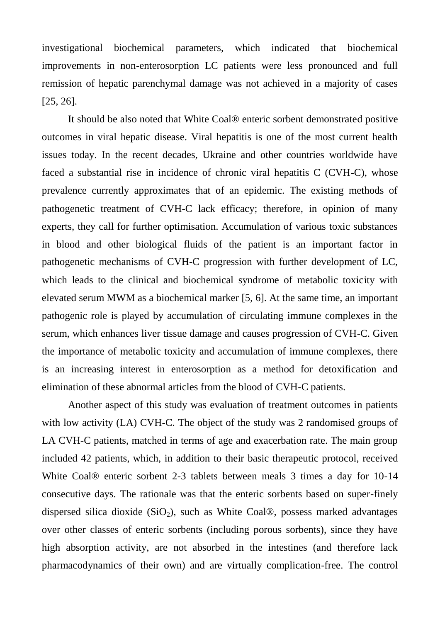investigational biochemical parameters, which indicated that biochemical improvements in non-enterosorption LC patients were less pronounced and full remission of hepatic parenchymal damage was not achieved in a majority of cases [25, 26].

It should be also noted that White Coal® enteric sorbent demonstrated positive outcomes in viral hepatic disease. Viral hepatitis is one of the most current health issues today. In the recent decades, Ukraine and other countries worldwide have faced a substantial rise in incidence of chronic viral hepatitis C (CVH-C), whose prevalence currently approximates that of an epidemic. The existing methods of pathogenetic treatment of CVH-C lack efficacy; therefore, in opinion of many experts, they call for further optimisation. Accumulation of various toxic substances in blood and other biological fluids of the patient is an important factor in pathogenetic mechanisms of CVH-C progression with further development of LC, which leads to the clinical and biochemical syndrome of metabolic toxicity with elevated serum MWM as a biochemical marker [5, 6]. At the same time, an important pathogenic role is played by accumulation of circulating immune complexes in the serum, which enhances liver tissue damage and causes progression of CVH-C. Given the importance of metabolic toxicity and accumulation of immune complexes, there is an increasing interest in enterosorption as a method for detoxification and elimination of these abnormal articles from the blood of CVH-C patients.

Another aspect of this study was evaluation of treatment outcomes in patients with low activity (LA) CVH-C. The object of the study was 2 randomised groups of LA CVH-C patients, matched in terms of age and exacerbation rate. The main group included 42 patients, which, in addition to their basic therapeutic protocol, received White Coal® enteric sorbent 2-3 tablets between meals 3 times a day for 10-14 consecutive days. The rationale was that the enteric sorbents based on super-finely dispersed silica dioxide  $(SiO<sub>2</sub>)$ , such as White Coal®, possess marked advantages over other classes of enteric sorbents (including porous sorbents), since they have high absorption activity, are not absorbed in the intestines (and therefore lack pharmacodynamics of their own) and are virtually complication-free. The control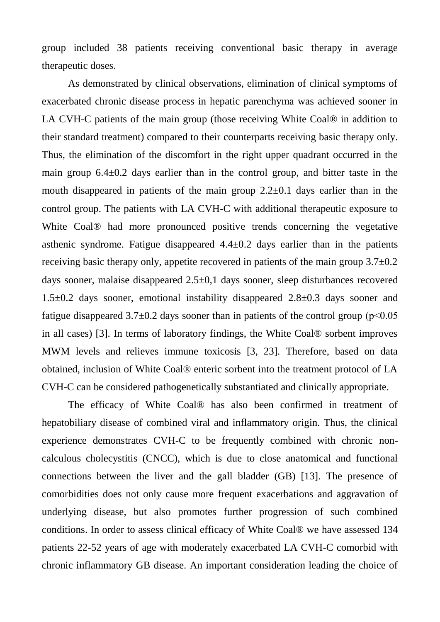group included 38 patients receiving conventional basic therapy in average therapeutic doses.

As demonstrated by clinical observations, elimination of clinical symptoms of exacerbated chronic disease process in hepatic parenchyma was achieved sooner in LA CVH-C patients of the main group (those receiving White Coal® in addition to their standard treatment) compared to their counterparts receiving basic therapy only. Thus, the elimination of the discomfort in the right upper quadrant occurred in the main group  $6.4\pm0.2$  days earlier than in the control group, and bitter taste in the mouth disappeared in patients of the main group  $2.2\pm0.1$  days earlier than in the control group. The patients with LA CVH-C with additional therapeutic exposure to White Coal<sup>®</sup> had more pronounced positive trends concerning the vegetative asthenic syndrome. Fatigue disappeared  $4.4\pm0.2$  days earlier than in the patients receiving basic therapy only, appetite recovered in patients of the main group 3.7±0.2 days sooner, malaise disappeared 2.5±0,1 days sooner, sleep disturbances recovered 1.5±0.2 days sooner, emotional instability disappeared 2.8±0.3 days sooner and fatigue disappeared  $3.7\pm0.2$  days sooner than in patients of the control group ( $p<0.05$ ) in all cases) [3]. In terms of laboratory findings, the White Coal® sorbent improves MWM levels and relieves immune toxicosis [3, 23]. Therefore, based on data obtained, inclusion of White Coal® enteric sorbent into the treatment protocol of LA CVH-C can be considered pathogenetically substantiated and clinically appropriate.

The efficacy of White Coal® has also been confirmed in treatment of hepatobiliary disease of combined viral and inflammatory origin. Thus, the clinical experience demonstrates CVH-C to be frequently combined with chronic noncalculous cholecystitis (CNCC), which is due to close anatomical and functional connections between the liver and the gall bladder (GB) [13]. The presence of comorbidities does not only cause more frequent exacerbations and aggravation of underlying disease, but also promotes further progression of such combined conditions. In order to assess clinical efficacy of White Coal® we have assessed 134 patients 22-52 years of age with moderately exacerbated LA CVH-C comorbid with chronic inflammatory GB disease. An important consideration leading the choice of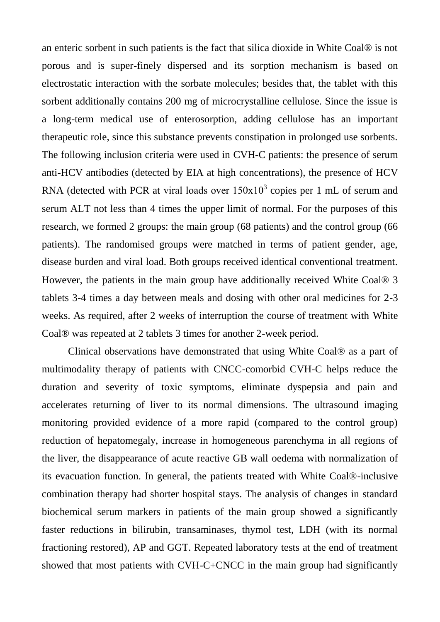an enteric sorbent in such patients is the fact that silica dioxide in White Coal® is not porous and is super-finely dispersed and its sorption mechanism is based on electrostatic interaction with the sorbate molecules; besides that, the tablet with this sorbent additionally contains 200 mg of microcrystalline cellulose. Since the issue is a long-term medical use of enterosorption, adding cellulose has an important therapeutic role, since this substance prevents constipation in prolonged use sorbents. The following inclusion criteria were used in CVH-C patients: the presence of serum anti-HCV antibodies (detected by EIA at high concentrations), the presence of HCV RNA (detected with PCR at viral loads over  $150x10<sup>3</sup>$  copies per 1 mL of serum and serum ALT not less than 4 times the upper limit of normal. For the purposes of this research, we formed 2 groups: the main group (68 patients) and the control group (66 patients). The randomised groups were matched in terms of patient gender, age, disease burden and viral load. Both groups received identical conventional treatment. However, the patients in the main group have additionally received White Coal® 3 tablets 3-4 times a day between meals and dosing with other oral medicines for 2-3 weeks. As required, after 2 weeks of interruption the course of treatment with White Coal® was repeated at 2 tablets 3 times for another 2-week period.

Clinical observations have demonstrated that using White Coal® as a part of multimodality therapy of patients with CNCC-comorbid CVH-C helps reduce the duration and severity of toxic symptoms, eliminate dyspepsia and pain and accelerates returning of liver to its normal dimensions. The ultrasound imaging monitoring provided evidence of a more rapid (compared to the control group) reduction of hepatomegaly, increase in homogeneous parenchyma in all regions of the liver, the disappearance of acute reactive GB wall oedema with normalization of its evacuation function. In general, the patients treated with White Coal®-inclusive combination therapy had shorter hospital stays. The analysis of changes in standard biochemical serum markers in patients of the main group showed a significantly faster reductions in bilirubin, transaminases, thymol test, LDH (with its normal fractioning restored), AP and GGT. Repeated laboratory tests at the end of treatment showed that most patients with CVH-C+CNCC in the main group had significantly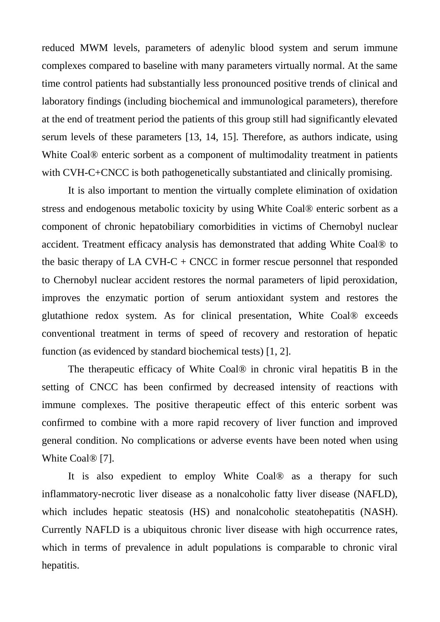reduced MWM levels, parameters of adenylic blood system and serum immune complexes compared to baseline with many parameters virtually normal. At the same time control patients had substantially less pronounced positive trends of clinical and laboratory findings (including biochemical and immunological parameters), therefore at the end of treatment period the patients of this group still had significantly elevated serum levels of these parameters [13, 14, 15]. Therefore, as authors indicate, using White Coal<sup>®</sup> enteric sorbent as a component of multimodality treatment in patients with CVH-C+CNCC is both pathogenetically substantiated and clinically promising.

It is also important to mention the virtually complete elimination of oxidation stress and endogenous metabolic toxicity by using White Coal® enteric sorbent as a component of chronic hepatobiliary comorbidities in victims of Chernobyl nuclear accident. Treatment efficacy analysis has demonstrated that adding White Coal® to the basic therapy of LA CVH-C + CNCC in former rescue personnel that responded to Chernobyl nuclear accident restores the normal parameters of lipid peroxidation, improves the enzymatic portion of serum antioxidant system and restores the glutathione redox system. As for clinical presentation, White Coal® exceeds conventional treatment in terms of speed of recovery and restoration of hepatic function (as evidenced by standard biochemical tests) [1, 2].

The therapeutic efficacy of White Coal® in chronic viral hepatitis B in the setting of CNCC has been confirmed by decreased intensity of reactions with immune complexes. The positive therapeutic effect of this enteric sorbent was confirmed to combine with a more rapid recovery of liver function and improved general condition. No complications or adverse events have been noted when using White Coal® [7].

It is also expedient to employ White Coal® as a therapy for such inflammatory-necrotic liver disease as a nonalcoholic fatty liver disease (NAFLD), which includes hepatic steatosis (HS) and nonalcoholic steatohepatitis (NASH). Currently NAFLD is a ubiquitous chronic liver disease with high occurrence rates, which in terms of prevalence in adult populations is comparable to chronic viral hepatitis.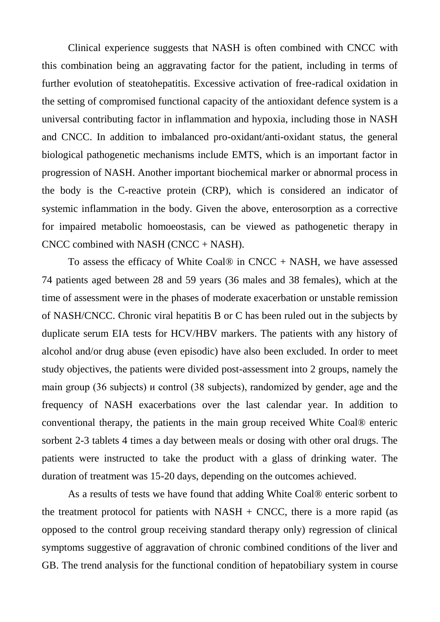Clinical experience suggests that NASH is often combined with CNCC with this combination being an aggravating factor for the patient, including in terms of further evolution of steatohepatitis. Excessive activation of free-radical oxidation in the setting of compromised functional capacity of the antioxidant defence system is a universal contributing factor in inflammation and hypoxia, including those in NASH and CNCC. In addition to imbalanced pro-oxidant/anti-oxidant status, the general biological pathogenetic mechanisms include EMTS, which is an important factor in progression of NASH. Another important biochemical marker or abnormal process in the body is the C-reactive protein (CRP), which is considered an indicator of systemic inflammation in the body. Given the above, enterosorption as a corrective for impaired metabolic homoeostasis, can be viewed as pathogenetic therapy in CNCC combined with NASH (CNCC + NASH).

To assess the efficacy of White Coal® in  $CNCC + NASA$ , we have assessed 74 patients aged between 28 and 59 years (36 males and 38 females), which at the time of assessment were in the phases of moderate exacerbation or unstable remission of NASH/CNCC. Chronic viral hepatitis B or C has been ruled out in the subjects by duplicate serum EIA tests for HCV/HBV markers. The patients with any history of alcohol and/or drug abuse (even episodic) have also been excluded. In order to meet study objectives, the patients were divided post-assessment into 2 groups, namely the main group (36 subjects) и control (38 subjects), randomized by gender, age and the frequency of NASH exacerbations over the last calendar year. In addition to conventional therapy, the patients in the main group received White Coal® enteric sorbent 2-3 tablets 4 times a day between meals or dosing with other oral drugs. The patients were instructed to take the product with a glass of drinking water. The duration of treatment was 15-20 days, depending on the outcomes achieved.

As a results of tests we have found that adding White Coal® enteric sorbent to the treatment protocol for patients with  $NASH + CNCC$ , there is a more rapid (as opposed to the control group receiving standard therapy only) regression of clinical symptoms suggestive of aggravation of chronic combined conditions of the liver and GB. The trend analysis for the functional condition of hepatobiliary system in course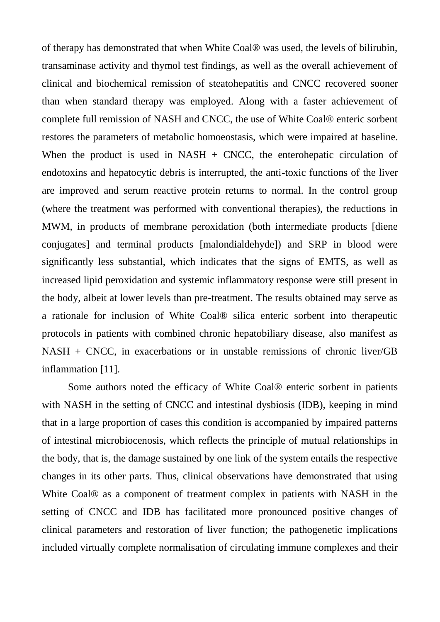of therapy has demonstrated that when White Coal® was used, the levels of bilirubin, transaminase activity and thymol test findings, as well as the overall achievement of clinical and biochemical remission of steatohepatitis and CNCC recovered sooner than when standard therapy was employed. Along with a faster achievement of complete full remission of NASH and CNCC, the use of White Coal® enteric sorbent restores the parameters of metabolic homoeostasis, which were impaired at baseline. When the product is used in NASH  $+$  CNCC, the enterohepatic circulation of endotoxins and hepatocytic debris is interrupted, the anti-toxic functions of the liver are improved and serum reactive protein returns to normal. In the control group (where the treatment was performed with conventional therapies), the reductions in MWM, in products of membrane peroxidation (both intermediate products [diene conjugates] and terminal products [malondialdehyde]) and SRP in blood were significantly less substantial, which indicates that the signs of EMTS, as well as increased lipid peroxidation and systemic inflammatory response were still present in the body, albeit at lower levels than pre-treatment. The results obtained may serve as a rationale for inclusion of White Coal® silica enteric sorbent into therapeutic protocols in patients with combined chronic hepatobiliary disease, also manifest as NASH + CNCC, in exacerbations or in unstable remissions of chronic liver/GB inflammation [11].

Some authors noted the efficacy of White Coal® enteric sorbent in patients with NASH in the setting of CNCC and intestinal dysbiosis (IDB), keeping in mind that in a large proportion of cases this condition is accompanied by impaired patterns of intestinal microbiocenosis, which reflects the principle of mutual relationships in the body, that is, the damage sustained by one link of the system entails the respective changes in its other parts. Thus, clinical observations have demonstrated that using White Coal<sup>®</sup> as a component of treatment complex in patients with NASH in the setting of CNCC and IDB has facilitated more pronounced positive changes of clinical parameters and restoration of liver function; the pathogenetic implications included virtually complete normalisation of circulating immune complexes and their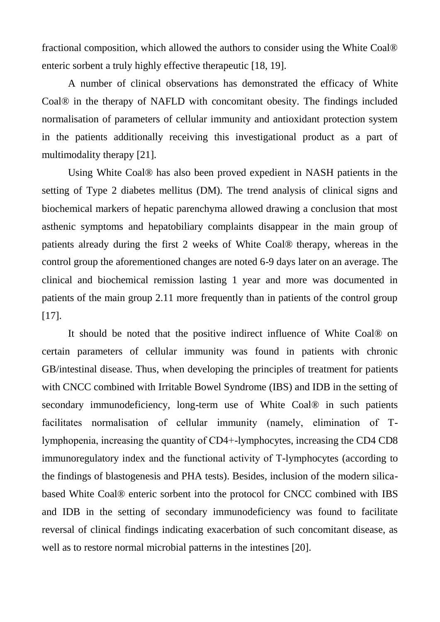fractional composition, which allowed the authors to consider using the White Coal® enteric sorbent a truly highly effective therapeutic [18, 19].

A number of clinical observations has demonstrated the efficacy of White Coal® in the therapy of NAFLD with concomitant obesity. The findings included normalisation of parameters of cellular immunity and antioxidant protection system in the patients additionally receiving this investigational product as a part of multimodality therapy [21].

Using White Coal® has also been proved expedient in NASH patients in the setting of Type 2 diabetes mellitus (DM). The trend analysis of clinical signs and biochemical markers of hepatic parenchyma allowed drawing a conclusion that most asthenic symptoms and hepatobiliary complaints disappear in the main group of patients already during the first 2 weeks of White Coal® therapy, whereas in the control group the aforementioned changes are noted 6-9 days later on an average. The clinical and biochemical remission lasting 1 year and more was documented in patients of the main group 2.11 more frequently than in patients of the control group [17].

It should be noted that the positive indirect influence of White Coal® on certain parameters of cellular immunity was found in patients with chronic GB/intestinal disease. Thus, when developing the principles of treatment for patients with CNCC combined with Irritable Bowel Syndrome (IBS) and IDB in the setting of secondary immunodeficiency, long-term use of White Coal® in such patients facilitates normalisation of cellular immunity (namely, elimination of Тlymphopenia, increasing the quantity of СD4+-lymphocytes, increasing the CD4 CD8 immunoregulatory index and the functional activity of Т-lymphocytes (according to the findings of blastogenesis and PHA tests). Besides, inclusion of the modern silicabased White Coal® enteric sorbent into the protocol for CNCC combined with IBS and IDB in the setting of secondary immunodeficiency was found to facilitate reversal of clinical findings indicating exacerbation of such concomitant disease, as well as to restore normal microbial patterns in the intestines [20].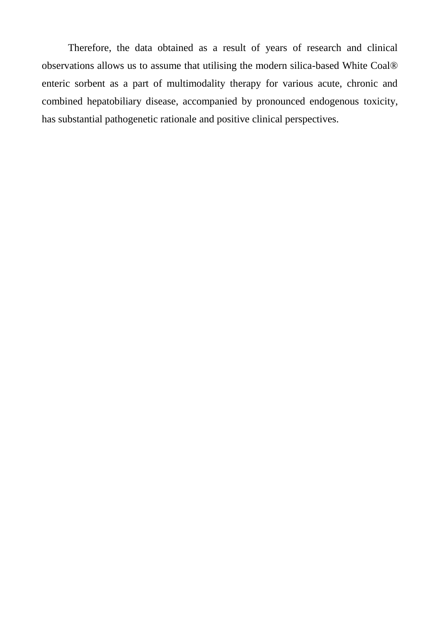Therefore, the data obtained as a result of years of research and clinical observations allows us to assume that utilising the modern silica-based White Coal® enteric sorbent as a part of multimodality therapy for various acute, chronic and combined hepatobiliary disease, accompanied by pronounced endogenous toxicity, has substantial pathogenetic rationale and positive clinical perspectives.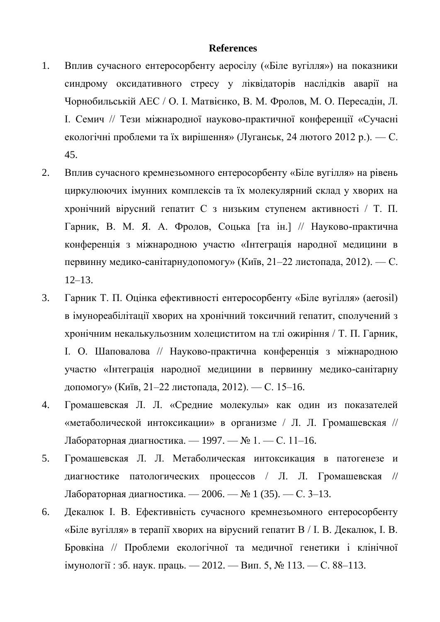## **References**

- 1. Вплив сучасного ентеросорбенту аеросілу («Біле вугілля») на показники синдрому оксидативного стресу у ліквідаторів наслідків аварії на Чорнобильській АЕС / О. І. Матвієнко, В. М. Фролов, М. О. Пересадін, Л. І. Семич // Тези міжнародної науково-практичної конференції «Сучасні екологічні проблеми та їх вирішення» (Луганськ, 24 лютого 2012 р.). — С. 45.
- 2. Вплив сучасного кремнезьомного ентеросорбенту «Біле вугілля» на рівень циркулюючих імунних комплексів та їх молекулярний склад у хворих на хронічний вірусний гепатит С з низьким ступенем активності / Т. П. Гарник, В. М. Я. А. Фролов, Соцька [та ін.] // Науково-практична конференція з міжнародною участю «Інтеграція народної медицини в первинну медико-санітарнудопомогу» (Київ, 21–22 листопада, 2012). — С. 12–13.
- 3. Гарник Т. П. Оцінка ефективності ентеросорбенту «Біле вугілля» (aerosil) в імунореабілітації хворих на хронічний токсичний гепатит, сполучений з хронічним некалькульозним холециститом на тлі ожиріння / Т. П. Гарник, І. О. Шаповалова // Науково-практична конференція з міжнародною участю «Інтеграція народної медицини в первинну медико-санітарну допомогу» (Київ, 21–22 листопада, 2012). — С. 15–16.
- 4. Громашевская Л. Л. «Средние молекулы» как один из показателей «метаболической интоксикации» в оpганизме / Л. Л. Громашевская // Лабораторная диагностика. — 1997. — № 1. — С. 11–16.
- 5. Громашевская Л. Л. Метаболическая интоксикация в патогенезе и диагностике патологических процессов / Л. Л. Громашевская // Лабораторная диагностика. — 2006. — № 1 (35). — С. 3–13.
- 6. Декалюк І. В. Ефективність сучасного кремнезьомного ентеросорбенту «Біле вугілля» в терапії хворих на вірусний гепатит В / І. В. Декалюк, І. В. Бровкіна // Проблеми екологічної та медичної генетики і клінічної імунології : зб. наук. праць. — 2012. — Вип. 5, № 113. — С. 88–113.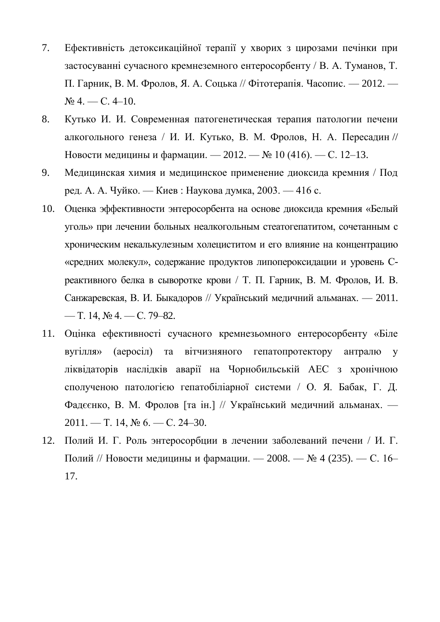- 7. Ефективність детоксикаційної терапії у хворих з цирозами печінки при застосуванні сучасного кремнеземного ентеросорбенту / В. А. Туманов, Т. П. Гарник, В. М. Фролов, Я. А. Соцька // Фітотерапія. Часопис. — 2012. —  $N_2$  4. — C. 4–10.
- 8. Кутько И. И. [Современная патогенетическая терапия патологии печени](http://www.mif-ua.com/archive/article/30589)  [алкогольного генеза / И. И. Кутько, B. M. Фролов, Н. А. Пересадин](http://www.mif-ua.com/archive/article/30589) // [Новости медицины и фармации. —](http://www.mif-ua.com/archive/article/30589) 2012. — № 10 (416). — С. 12–13.
- 9. Медицинская химия и медицинское применение диоксида кремния / Под ред. А. А. Чуйко. — Киев : Наукова думка, 2003. — 416 с.
- 10. Оценка эффективности энтеросорбента на основе диоксида кремния «Белый уголь» при лечении больных неалкогольным стеатогепатитом, сочетанным с хроническим некалькулезным холециститом и его влияние на концентрацию «средних молекул», содержание продуктов липопероксидации и уровень Среактивного белка в сыворотке крови / Т. П. Гарник, В. М. Фролов, И. В. Санжаревская, В. И. Быкадоров // Український медичний альманах. — 2011. — Т. 14,  $\mathcal{N}$   $4. - C. 79 - 82.$
- 11. Оцінка ефективності сучасного кремнезьомного ентеросорбенту «Біле вугілля» (аеросіл) та вітчизняного гепатопротектору антралю у ліквідаторів наслідків аварії на Чорнобильській АЕС з хронічною сполученою патологією гепатобіліарної системи / О. Я. Бабак, Г. Д. Фадєєнко, В. М. Фролов [та ін.] // Український медичний альманах. — 2011. — Т. 14, № 6. — С. 24–30.
- 12. Полий И. Г. Роль энтеросорбции в лечении заболеваний печени / И. Г. Полий // Новости медицины и фармации. — 2008. — № 4 (235). — С. 16– 17.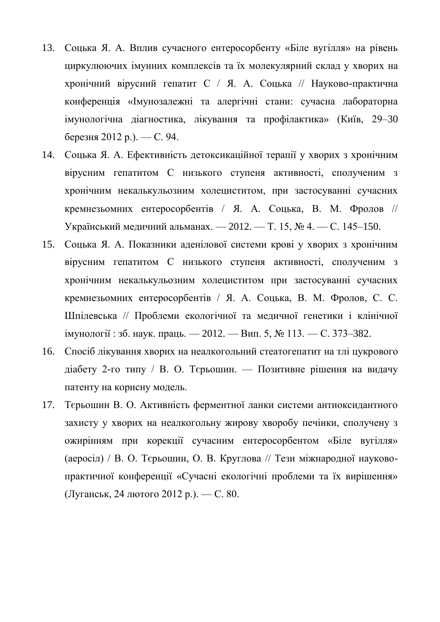- 13. Соцька Я. А. Вплив сучасного ентеросорбенту «Біле вугілля» на рівень циркулюючих імунних комплексів та їх молекулярний склад у хворих на хронічний вірусний гепатит С / Я. А. Соцька // Науково-практична конференція «Імунозалежні та алергічні стани: сучасна лабораторна імунологічна діагностика, лікування та профілактика» (Київ, 29–30 березня 2012 р.). — С. 94.
- 14. Соцька Я. А. Ефективність детоксикаційної терапії у хворих з хронічним вірусним гепатитом С низького ступеня активності, сполученим з хронічним некалькульозним холециститом, при застосуванні сучасних кремнезьомних ентеросорбентів / Я. А. Соцька, В. М. Фролов // Український медичний альманах. — 2012. — Т. 15, № 4. — С. 145–150.
- 15. Соцька Я. А. Показники аденілової системи крові у хворих з хронічним вірусним гепатитом С низького ступеня активності, сполученим з хронічним некалькульозним холециститом при застосуванні сучасних кремнезьомних ентеросорбентів / Я. А. Соцька, В. М. Фролов, С. С. Шпілевська // Проблеми екологічної та медичної генетики і клінічної імунології : зб. наук. праць. — 2012. — Вип. 5, № 113. — С. 373–382.
- 16. Спосіб лікування хворих на неалкогольний стеатогепатит на тлі цукрового діабету 2-го типу / В. О. Тєрьошин. — Позитивне рішення на видачу патенту на корисну модель.
- 17. Тєрьошин В. О. Активність ферментної ланки системи антиоксидантного захисту у хворих на неалкогольну жирову хворобу печінки, сполучену з ожирінням при корекції сучасним ентеросорбентом «Біле вугілля» (аеросіл) / В. О. Тєрьошин, О. В. Круглова // Тези міжнародної науковопрактичної конференції «Сучасні екологічні проблеми та їх вирішення» (Луганськ, 24 лютого 2012 р.). — С. 80.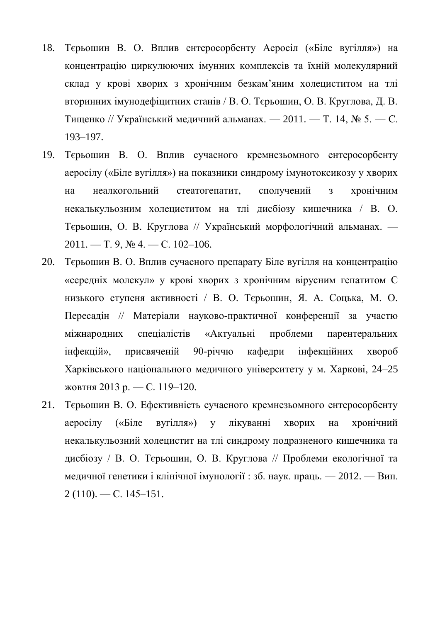- 18. Тєрьошин В. О. Вплив ентеросорбенту Аеросіл («Біле вугілля») на концентрацію циркулюючих імунних комплексів та їхній молекулярний склад у крові хворих з хронічним безкам'яним холециститом на тлі вторинних імунодефіцитних станів / В. О. Тєрьошин, О. В. Круглова, Д. В. Тищенко // Український медичний альманах. — 2011. — Т. 14, № 5. — С. 193–197.
- 19. Тєрьошин В. О. Вплив сучасного кремнезьомного ентеросорбенту аеросілу («Біле вугілля») на показники синдрому імунотоксикозу у хворих на неалкогольний стеатогепатит, сполучений з хронічним некалькульозним холециститом на тлі дисбіозу кишечника / В. О. Тєрьошин, О. В. Круглова // Український морфологічний альманах. —  $2011. - T. 9, \text{Ne } 4. - C. 102 - 106.$
- 20. Тєрьошин В. О. Вплив сучасного препарату Біле вугілля на концентрацію «середніх молекул» у крові хворих з хронічним вірусним гепатитом С низького ступеня активності / В. О. Тєрьошин, Я. А. Соцька, М. О. Пересадін // Матеріали науково-практичної конференції за участю міжнародних спеціалістів «Актуальні проблеми парентеральних інфекцій», присвяченій 90-річчю кафедри інфекційних хвороб Харківського національного медичного університету у м. Харкові, 24–25 жовтня 2013 р. — С. 119–120.
- 21. Тєрьошин В. О. Ефективність сучасного кремнезьомного ентеросорбенту аеросілу («Біле вугілля») у лікуванні хворих на хронічний некалькульозний холецистит на тлі синдрому подразненого кишечника та дисбіозу / В. О. Тєрьошин, О. В. Круглова // Проблеми екологічної та медичної генетики і клінічної імунології : зб. наук. праць. — 2012. — Вип.  $2(110)$ . - C. 145-151.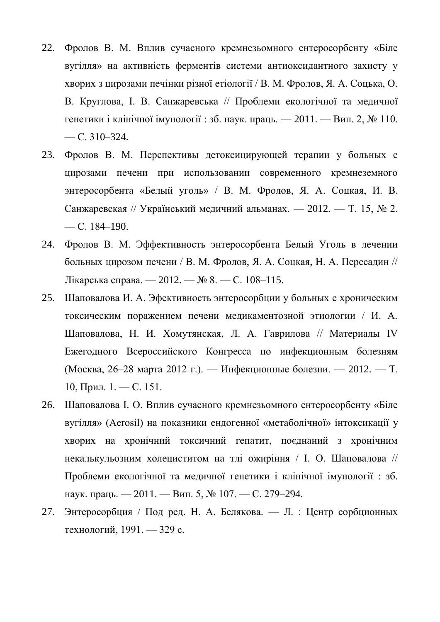- 22. Фролов В. М. Вплив сучасного кремнезьомного ентеросорбенту «Біле вугілля» на активність ферментів системи антиоксидантного захисту у хворих з цирозами печінки різної етіології / В. М. Фролов, Я. А. Соцька, О. В. Круглова, І. В. Санжаревська // Проблеми екологічної та медичної генетики і клінічної імунології : зб. наук. праць. — 2011. — Вип. 2, № 110.  $-$  C. 310–324.
- 23. Фролов В. М. Перспективы детоксицирующей терапии у больных с цирозами печени при использовании современного кремнеземного энтеросорбента «Белый уголь» / В. М. Фролов, Я. А. Соцкая, И. В. Санжаревская // Український медичний альманах. — 2012. — Т. 15, № 2. — С. 184–190.
- 24. Фролов В. М. Эффективность энтеросорбента Белый Уголь в лечении больных цирозом печени / В. М. Фролов, Я. А. Соцкая, Н. А. Пересадин // Лікарська справа. — 2012. — № 8. — С. 108–115.
- 25. Шаповалова И. А. Эфективность энтеросорбции у больных с хроническим токсическим поражением печени медикаментозной этиологии / И. А. Шаповалова, Н. И. Хомутянская, Л. А. Гаврилова // Материалы ІV Ежегодного Всероссийского Конгресса по инфекционным болезням (Москва, 26–28 марта 2012 г.). — Инфекционные болезни. — 2012. — Т. 10, Прил. 1. — С. 151.
- 26. Шаповалова І. О. Вплив сучасного кремнезьомного ентеросорбенту «Біле вугілля» (Aerosil) на показники ендогенної «метаболічної» інтоксикації у хворих на хронічний токсичний гепатит, поєднаний з хронічним некалькульозним холециститом на тлі ожиріння / І. О. Шаповалова // Проблеми екологічної та медичної генетики і клінічної імунології : зб. наук. праць. — 2011. — Вип. 5, № 107. — С. 279–294.
- 27. Энтеросорбция / Под ред. Н. А. Белякова. Л. : Центр сорбционных технологий, 1991. — 329 с.